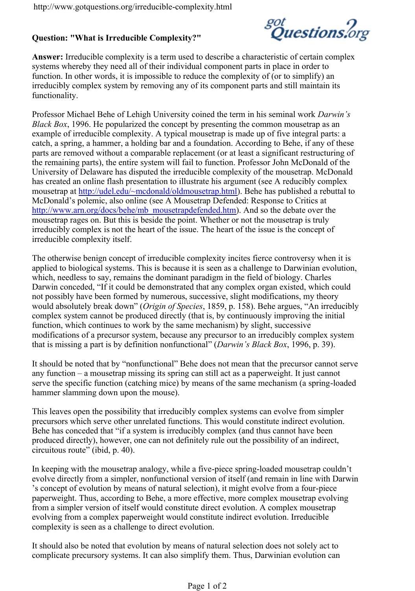*got*<br>Question: "What is Irreducible Complexentions.org

Answerreducible complexity is a term used to describe a systems whereby they need all of their individual compo function. In other words, it is impossible to reduce the irreducibly complex system by removing any of its comp functionality.

Professor Michael Behe of Lehigh University coinend in the Black , B 6 296. He popularized the concept by presenting example of irreducible complexity. A typical mousetrap catch, a spring, a hammer, a holding bar and a foundati parts are removed without a comparable replacement (o the remaining parts), the entire system will fail to funct University of Delaware has disputed the irreducible com has created an online flash presentation to illustrate hi mousetr hat ptip at  $t/u$  del.edu/~mcdonald  $y$  ol has has published a republished a republished a republished a republished a republished a republished a republished a republished a republished a republished a republished McDonald olemic, also online (see A Mousetrap Defende http://www.arn.org/docs/behe/mb\_)moAunsdetroapholefelend.archarde.hot mousetrap rages on. But this is beside the point. Wheth irreducibly complex is not the heart of the issue. The h irreducible complexity itself.

The otherwise benign concept of irreducible complexity applied to biological systems. This is because it is see which, needless to say, remains the dominant paradigm Darwin conded be demonstrated that any complex not possibly have been formed by numerous, successive would absolutely  $\sharp$ Oreiagkindown $\hat{\mathfrak{G}}$  ple3GiSe,sp. 158). BAenheirreer**giu**ee i complex system cannot be produced directly (that is, by function, which continues to work by the same mechanis modifications of a precursor system, because any precu that is missing a part is by  $d \in \mathbb{D}$ ianitwischn $B$  haccrkfußh $\theta \in \mathbb{C}$ s 60 npa. 139).

It should be noteconfunctions and does not mean that the pre any function nousetrap missing its spring can still act as serve the specific function (catching mice) by melanas end hammer slamming down upon the mouse).

This leaves open the possibility that irreducibly comple precursors which serve other unrelated functions. This Behe has concied  $\alpha$  that  $\alpha$  is irreducibly complex (and the produced directly), however, one can not definitely rule  $circ$ uitous (into intep. 40).

In keeping with the mousetrappeancaelosophor, anoughed loan on ufsioetentap of evolve directly from a simpler, nonfunctional version of s concept of evolution by means of natural selpeicetoion), paperweight. Thus, according to Behe, a more effective from a simpler version of itself would constitute direct evolving from a complex paperweight would constitute in complexity is seen as a challenge to direct evolution.

It should also be noted that evolution by means of natu complicate precursory syssitementisty ltth**eam**. This wos, Darwinian